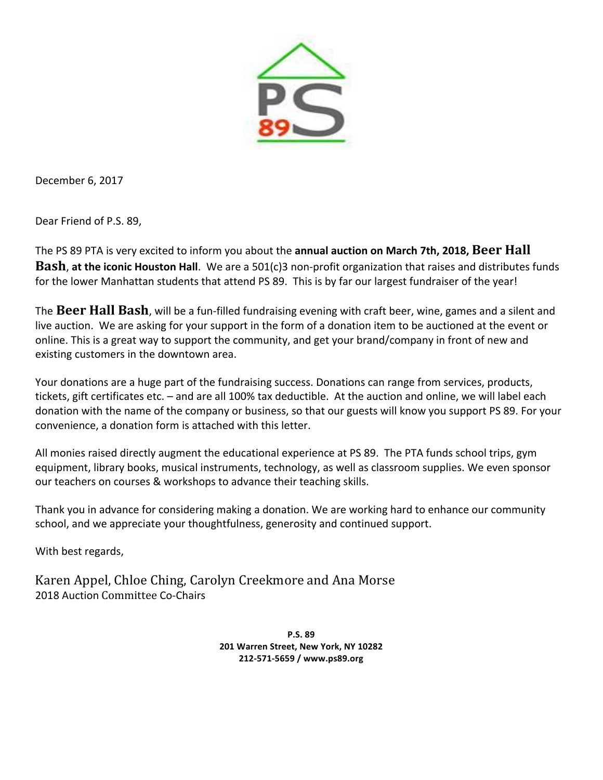

December 6, 2017

Dear Friend of P.S. 89,

The PS 89 PTA is very excited to inform you about the **annual auction on March 7th, 2018, Beer Hall Bash, at the iconic Houston Hall**. We are a 501(c)3 non-profit organization that raises and distributes funds for the lower Manhattan students that attend PS 89. This is by far our largest fundraiser of the year!

**The Beer Hall Bash**, will be a fun-filled fundraising evening with craft beer, wine, games and a silent and live auction. We are asking for your support in the form of a donation item to be auctioned at the event or online. This is a great way to support the community, and get your brand/company in front of new and existing customers in the downtown area.

Your donations are a huge part of the fundraising success. Donations can range from services, products, tickets, gift certificates etc. – and are all 100% tax deductible. At the auction and online, we will label each donation with the name of the company or business, so that our guests will know you support PS 89. For your convenience, a donation form is attached with this letter.

All monies raised directly augment the educational experience at PS 89. The PTA funds school trips, gym equipment, library books, musical instruments, technology, as well as classroom supplies. We even sponsor our teachers on courses & workshops to advance their teaching skills.

Thank you in advance for considering making a donation. We are working hard to enhance our community school, and we appreciate your thoughtfulness, generosity and continued support.

With best regards,

Karen Appel, Chloe Ching, Carolyn Creekmore and Ana Morse 2018 Auction Committee Co-Chairs

> **P.S. 89 201 Warren Street, New York, NY 10282 212-571-5659 / www.ps89.org**